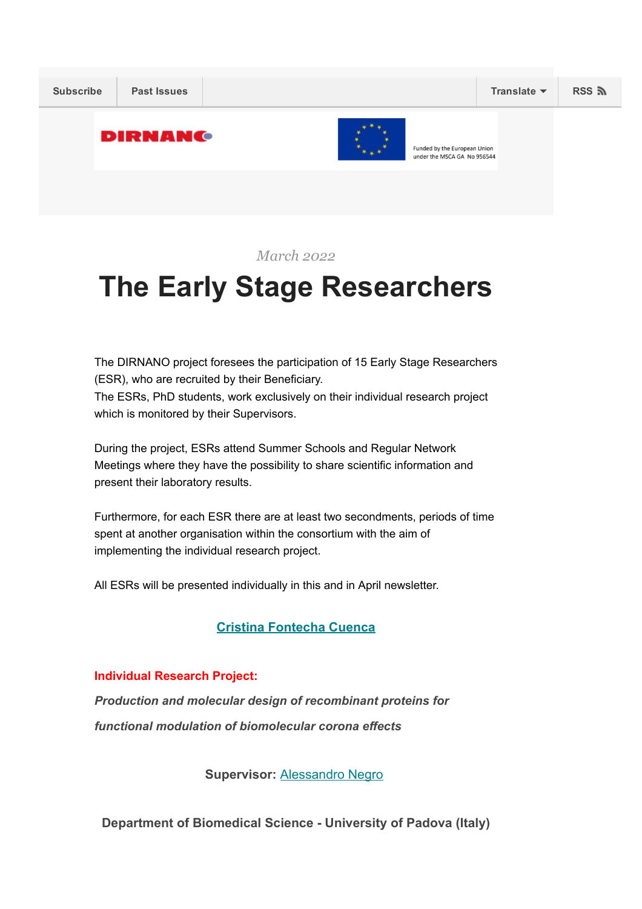

March 2022

# The Early Stage Researchers

The DIRNANO project foresees the participation of 15 Early Stage Researchers (ESR), who are recruited by their Beneficiary. The ESRs, PhD students, work exclusively on their individual research project which is monitored by their Supervisors.

During the project, ESRs attend Summer Schools and Regular Network Meetings where they have the possibility to share scientific information and present their laboratory results.

Furthermore, for each ESR there are at least two secondments, periods of time spent at another organisation within the consortium with the aim of implementing the individual research project.

All ESRs will be presented individually in this and in April newsletter.

## Cristina [Fontecha](https://dirnano.com/wp-content/uploads/2021/11/CV-ESR-Cristina-Fontecha-Cuenca.pdf) Cuenca

## Individual Research Project:

*Production and molecular design of recombinant proteins for functional modulation of biomolecular corona effects*

Supervisor: [Alessandro](https://dirnano.com/wp-content/uploads/2021/11/CV-Scientist-in-charge-Alessandro-Negro.pdf) Negro

Department of Biomedical Science University of Padova (Italy)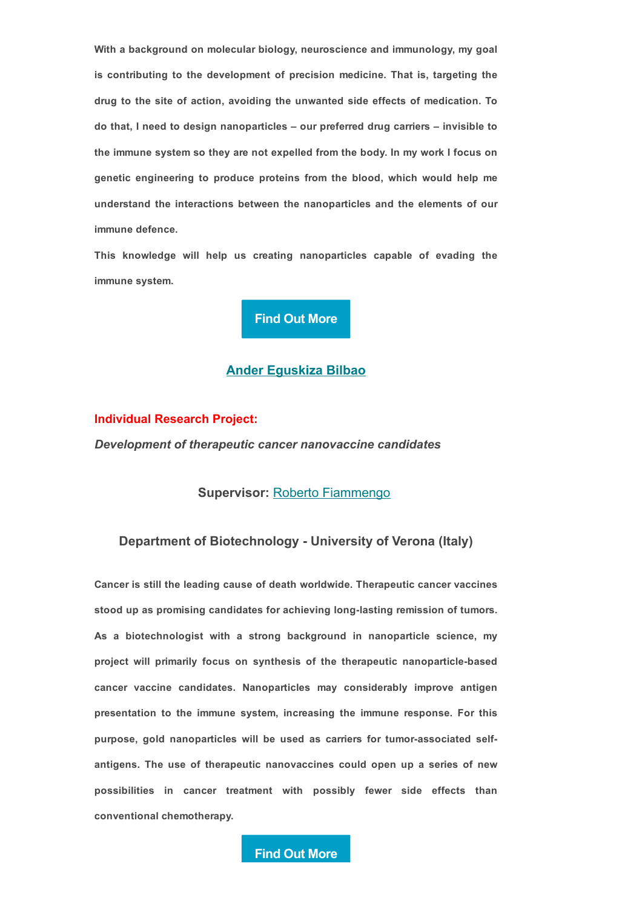With a background on molecular biology, neuroscience and immunology, my goal is contributing to the development of precision medicine. That is, targeting the drug to the site of action, avoiding the unwanted side effects of medication. To do that, I need to design nanoparticles – our preferred drug carriers – invisible to the immune system so they are not expelled from the body. In my work I focus on genetic engineering to produce proteins from the blood, which would help me understand the interactions between the nanoparticles and the elements of our immune defence.

This knowledge will help us creating nanoparticles capable of evading the immune system.



#### Ander [Eguskiza](https://dirnano.com/wp-content/uploads/2021/11/CV-ESR-Ander-Eguskiza_compressed.pdf) Bilbao

## Individual Research Project:

*Development of therapeutic cancer nanovaccine candidates*

## Supervisor: Roberto [Fiammengo](https://dirnano.com/wp-content/uploads/2021/11/CV-Scientist-in-charge-Roberto-Fiammengo_compressed.pdf)

## Department of Biotechnology - University of Verona (Italy)

Cancer is still the leading cause of death worldwide. Therapeutic cancer vaccines stood up as promising candidates for achieving long-lasting remission of tumors. As a biotechnologist with a strong background in nanoparticle science, my project will primarily focus on synthesis of the therapeutic nanoparticle-based cancer vaccine candidates. Nanoparticles may considerably improve antigen presentation to the immune system, increasing the immune response. For this purpose, gold nanoparticles will be used as carriers for tumorassociated selfantigens. The use of therapeutic nanovaccines could open up a series of new possibilities in cancer treatment with possibly fewer side effects than conventional chemotherapy.

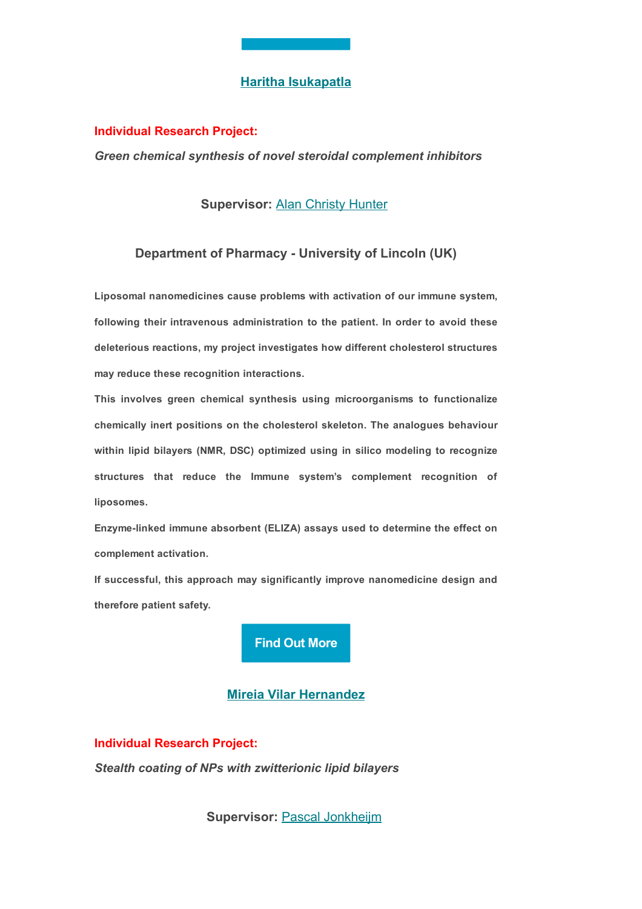## Haritha [Isukapatla](https://dirnano.com/wp-content/uploads/2021/11/CV-ESR-Haritha-Isukapatla_compressed.pdf)

#### Individual Research Project:

*Green chemical synthesis of novel steroidal complement inhibitors*

## **Supervisor: Alan [Christy](https://dirnano.com/wp-content/uploads/2021/11/CV-Scientist-in-charge-Christy-Hunter.pdf) Hunter**

## Department of Pharmacy - University of Lincoln (UK)

Liposomal nanomedicines cause problems with activation of our immune system, following their intravenous administration to the patient. In order to avoid these deleterious reactions, my project investigates how different cholesterol structures may reduce these recognition interactions.

This involves green chemical synthesis using microorganisms to functionalize chemically inert positions on the cholesterol skeleton. The analogues behaviour within lipid bilayers (NMR, DSC) optimized using in silico modeling to recognize structures that reduce the Immune system's complement recognition of liposomes.

Enzymelinked immune absorbent (ELIZA) assays used to determine the effect on complement activation.

If successful, this approach may significantly improve nanomedicine design and therefore patient safety.



## Mireia Vilar [Hernandez](https://dirnano.com/wp-content/uploads/2022/02/CV_Mireia_Vilar_LIPOCOAT-1.pdf)

Individual Research Project: *Stealth coating of NPs with zwitterionic lipid bilayers*

Supervisor: Pascal [Jonkheijm](https://dirnano.com/wp-content/uploads/2022/02/CV-Jonkheijm_LIPOCOAT.pdf)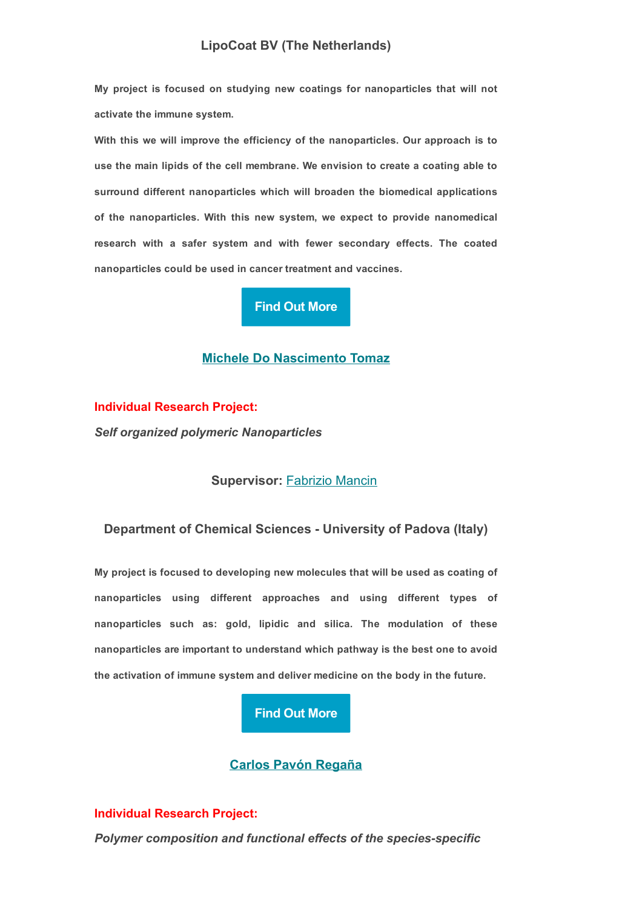My project is focused on studying new coatings for nanoparticles that will not activate the immune system.

With this we will improve the efficiency of the nanoparticles. Our approach is to use the main lipids of the cell membrane. We envision to create a coating able to surround different nanoparticles which will broaden the biomedical applications of the nanoparticles. With this new system, we expect to provide nanomedical research with a safer system and with fewer secondary effects. The coated nanoparticles could be used in cancer treatment and vaccines.

# Find Out [More](https://dirnano.com/individual-research-project-stealth-coating-of-nps-with-zwitterionic-lipid-bilayers/)

## Michele Do [Nascimento](https://dirnano.com/wp-content/uploads/2021/11/CV-ESR-Michele-do-Nascimento-Tomaz_compressed.pdf) Tomaz

Individual Research Project: *Self organized polymeric Nanoparticles*

## Supervisor: [Fabrizio](https://dirnano.com/wp-content/uploads/2021/11/CV-Scientist-in-charge-Fabrizio-Mancin.pdf) Mancin

## Department of Chemical Sciences University of Padova (Italy)

My project is focused to developing new molecules that will be used as coating of nanoparticles using different approaches and using different types of nanoparticles such as: gold, lipidic and silica. The modulation of these nanoparticles are important to understand which pathway is the best one to avoid the activation of immune system and deliver medicine on the body in the future.

## Find Out [More](https://dirnano.com/individual-research-project-self-organized-polymeric-nanoparticles/)

## Carlos Pavón [Regaña](https://dirnano.com/wp-content/uploads/2021/11/CV-ESR-Carlos-Pavon-Regana_compressed.pdf)

## Individual Research Project:

*Polymer composition and functional effects of the speciesspecific*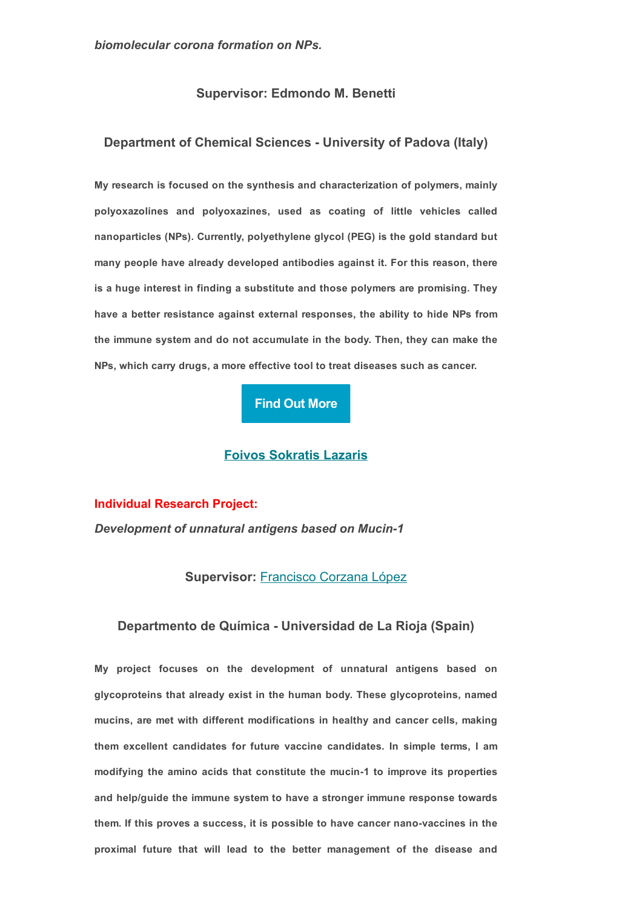## Supervisor: Edmondo M. Benetti

## Department of Chemical Sciences University of Padova (Italy)

My research is focused on the synthesis and characterization of polymers, mainly polyoxazolines and polyoxazines, used as coating of little vehicles called nanoparticles (NPs). Currently, polyethylene glycol (PEG) is the gold standard but many people have already developed antibodies against it. For this reason, there is a huge interest in finding a substitute and those polymers are promising. They have a better resistance against external responses, the ability to hide NPs from the immune system and do not accumulate in the body. Then, they can make the NPs, which carry drugs, a more effective tool to treat diseases such as cancer.

#### Find Out [More](https://dirnano.com/individual-research-project-polymer-composition-and-functional-effects-of-the-species-specific-biomolecular-corona-formation-on-nps/)

#### Foivos [Sokratis](https://dirnano.com/wp-content/uploads/2022/03/CV-nuovo-Foivos.pdf) Lazaris

#### Individual Research Project:

*Development of unnatural antigens based on Mucin1*

## Supervisor: [Francisco](https://dirnano.com/wp-content/uploads/2021/11/CV-Scientist-in-charge-Francisco-Corzana-Lopez.pdf) Corzana López

#### Departmento de Química - Universidad de La Rioja (Spain)

My project focuses on the development of unnatural antigens based on glycoproteins that already exist in the human body. These glycoproteins, named mucins, are met with different modifications in healthy and cancer cells, making them excellent candidates for future vaccine candidates. In simple terms, I am modifying the amino acids that constitute the mucin-1 to improve its properties and help/guide the immune system to have a stronger immune response towards them. If this proves a success, it is possible to have cancer nano-vaccines in the proximal future that will lead to the better management of the disease and